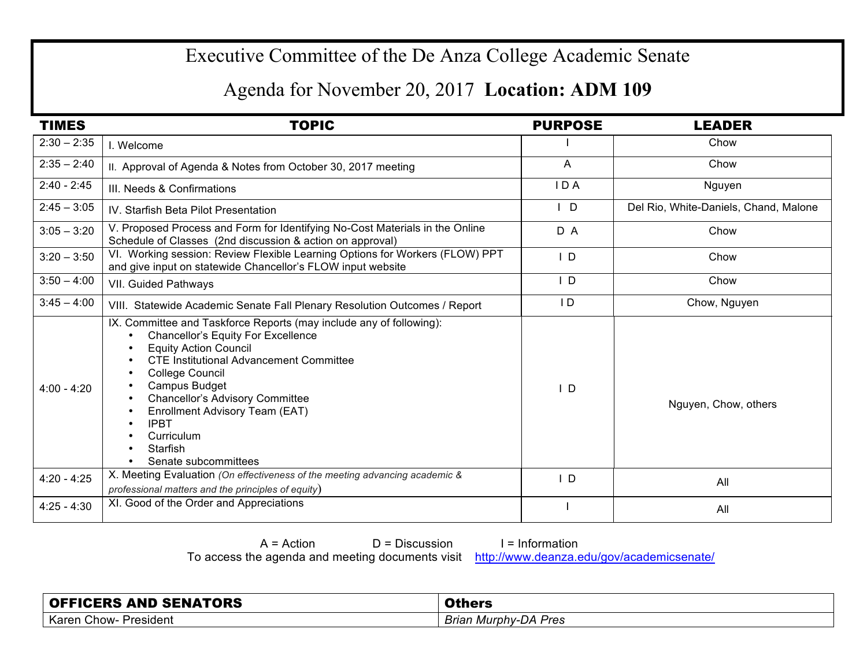## Executive Committee of the De Anza College Academic Senate

## Agenda for November 20, 2017 **Location: ADM 109**

| <b>TIMES</b>  | <b>TOPIC</b>                                                                                                                                                                                                                                                                                                                                                                                            | <b>PURPOSE</b> | <b>LEADER</b>                         |
|---------------|---------------------------------------------------------------------------------------------------------------------------------------------------------------------------------------------------------------------------------------------------------------------------------------------------------------------------------------------------------------------------------------------------------|----------------|---------------------------------------|
| $2:30 - 2:35$ | I. Welcome                                                                                                                                                                                                                                                                                                                                                                                              |                | Chow                                  |
| $2:35 - 2:40$ | II. Approval of Agenda & Notes from October 30, 2017 meeting                                                                                                                                                                                                                                                                                                                                            | A              | Chow                                  |
| $2:40 - 2:45$ | III. Needs & Confirmations                                                                                                                                                                                                                                                                                                                                                                              | IDA            | Nguyen                                |
| $2:45 - 3:05$ | IV. Starfish Beta Pilot Presentation                                                                                                                                                                                                                                                                                                                                                                    | D              | Del Rio, White-Daniels, Chand, Malone |
| $3:05 - 3:20$ | V. Proposed Process and Form for Identifying No-Cost Materials in the Online<br>Schedule of Classes (2nd discussion & action on approval)                                                                                                                                                                                                                                                               | D A            | Chow                                  |
| $3:20 - 3:50$ | VI. Working session: Review Flexible Learning Options for Workers (FLOW) PPT<br>and give input on statewide Chancellor's FLOW input website                                                                                                                                                                                                                                                             | $\mathsf{L}$   | Chow                                  |
| $3:50 - 4:00$ | VII. Guided Pathways                                                                                                                                                                                                                                                                                                                                                                                    | ID.            | Chow                                  |
| $3:45 - 4:00$ | VIII. Statewide Academic Senate Fall Plenary Resolution Outcomes / Report                                                                                                                                                                                                                                                                                                                               | $\mathsf{I}$   | Chow, Nguyen                          |
| $4:00 - 4:20$ | IX. Committee and Taskforce Reports (may include any of following):<br><b>Chancellor's Equity For Excellence</b><br>$\bullet$<br><b>Equity Action Council</b><br><b>CTE Institutional Advancement Committee</b><br>College Council<br>Campus Budget<br><b>Chancellor's Advisory Committee</b><br>Enrollment Advisory Team (EAT)<br><b>IPBT</b><br>Curriculum<br><b>Starfish</b><br>Senate subcommittees | ΙD             | Nguyen, Chow, others                  |
| $4:20 - 4:25$ | X. Meeting Evaluation (On effectiveness of the meeting advancing academic &<br>professional matters and the principles of equity)                                                                                                                                                                                                                                                                       | $\mathsf{I}$ D | All                                   |
| $4:25 - 4:30$ | XI. Good of the Order and Appreciations                                                                                                                                                                                                                                                                                                                                                                 |                | All                                   |

 $A = Action$   $D = Discussion$  I = Information

To access the agenda and meeting documents visit http://www.deanza.edu/gov/academicsenate/

| <b>OFFICERS AND SENATORS</b> | <b>AME</b>                  |
|------------------------------|-----------------------------|
| Karen Chow-<br>President     | <b>Brian Murphy-DA Pres</b> |